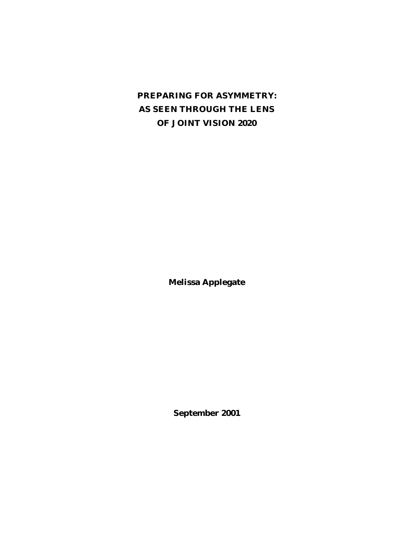# **PREPARING FOR ASYMMETRY: AS SEEN THROUGH THE LENS OF** *JOINT VISION 2020*

**Melissa Applegate**

**September 2001**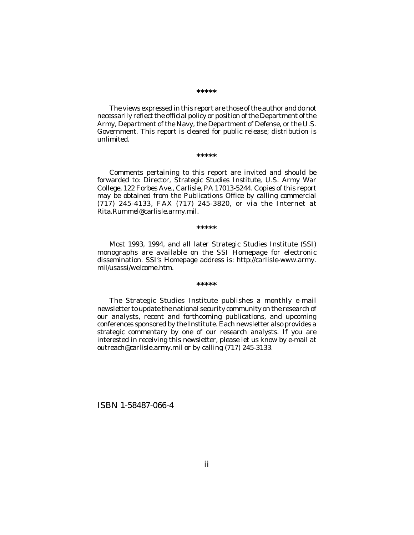#### **\*\*\*\*\***

The views expressed in this report are those of the author and do not necessarily reflect the official policy or position of the Department of the Army, Department of the Navy, the Department of Defense, or the U.S. Government. This report is cleared for public release; distribution is unlimited.

#### **\*\*\*\*\***

Comments pertaining to this report are invited and should be forwarded to: Director, Strategic Studies Institute, U.S. Army War College, 122 Forbes Ave., Carlisle, PA 17013-5244. Copies of this report may be obtained from the Publications Office by calling commercial (717) 245-4133, FAX (717) 245-3820, or via the Internet at Rita.Rummel@carlisle.army.mil.

#### **\*\*\*\*\***

Most 1993, 1994, and all later Strategic Studies Institute (SSI) monographs are available on the SSI Homepage for electronic dissemination. SSI's Homepage address is: http://carlisle-www.army. mil/usassi/welcome.htm.

#### **\*\*\*\*\***

The Strategic Studies Institute publishes a monthly e-mail newsletter to update the national security community on the research of our analysts, recent and forthcoming publications, and upcoming conferences sponsored by the Institute. Each newsletter also provides a strategic commentary by one of our research analysts. If you are interested in receiving this newsletter, please let us know by e-mail at outreach@carlisle.army.mil or by calling (717) 245-3133.

ISBN 1-58487-066-4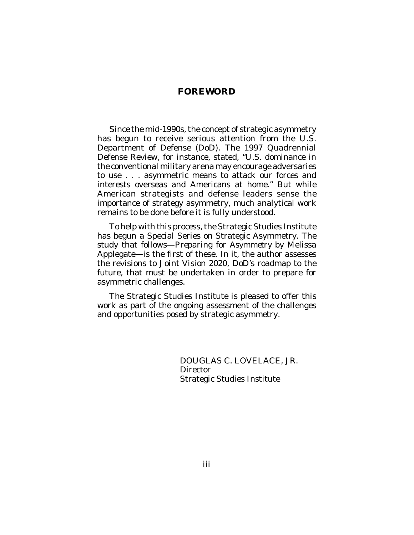# **FOREWORD**

Since the mid-1990s, the concept of strategic asymmetry has begun to receive serious attention from the U.S. Department of Defense (DoD). The 1997 Quadrennial Defense Review, for instance, stated, "U.S. dominance in the conventional military arena may encourage adversaries to use . . . asymmetric means to attack our forces and interests overseas and Americans at home." But while American strategists and defense leaders sense the importance of strategy asymmetry, much analytical work remains to be done before it is fully understood.

To help with this process, the Strategic Studies Institute has begun a Special Series on Strategic Asymmetry. The study that follows—*Preparing for Asymmetry* by Melissa Applegate—is the first of these. In it, the author assesses the revisions to *Joint Vision 2020*, DoD's roadmap to the future, that must be undertaken in order to prepare for asymmetric challenges.

The Strategic Studies Institute is pleased to offer this work as part of the ongoing assessment of the challenges and opportunities posed by strategic asymmetry.

> DOUGLAS C. LOVELACE, JR. **Director** Strategic Studies Institute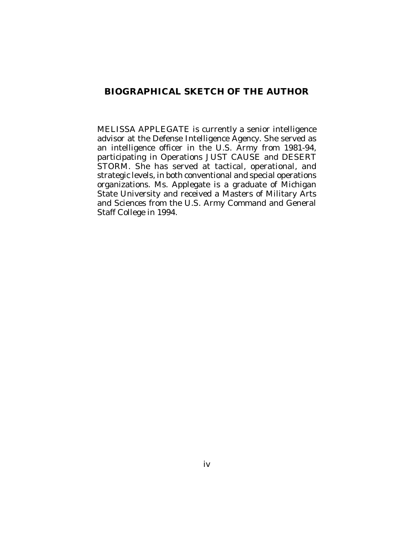# **BIOGRAPHICAL SKETCH OF THE AUTHOR**

MELISSA APPLEGATE is currently a senior intelligence advisor at the Defense Intelligence Agency. She served as an intelligence officer in the U.S. Army from 1981-94, participating in Operations JUST CAUSE and DESERT STORM. She has served at tactical, operational, and strategic levels, in both conventional and special operations organizations. Ms. Applegate is a graduate of Michigan State University and received a Masters of Military Arts and Sciences from the U.S. Army Command and General Staff College in 1994.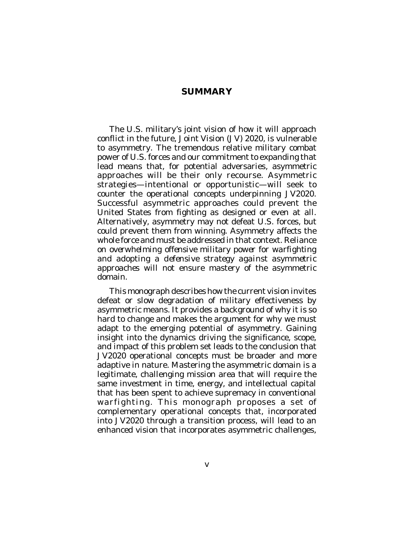#### **SUMMARY**

The U.S. military's joint vision of how it will approach conflict in the future, *Joint Vision (JV) 2020*, is vulnerable to asymmetry. The tremendous relative military combat power of U.S. forces and our commitment to expanding that lead means that, for potential adversaries, asymmetric approaches will be their only recourse. Asymmetric strategies—intentional or opportunistic—will seek to counter the operational concepts underpinning *JV2020*. Successful asymmetric approaches could prevent the United States from fighting as designed or even at all. Alternatively, asymmetry may not defeat U.S. forces, but could prevent them from winning. Asymmetry affects the whole force and must be addressed in that context. Reliance on *overwhelming offensive military power for warfighting* and adopting a *defensive strategy against asymmetric approaches* will not ensure mastery of the asymmetric domain.

This monograph describes how the current vision invites defeat or slow degradation of military effectiveness by asymmetric means. It provides a background of why it is so hard to change and makes the argument for why we must adapt to the emerging potential of asymmetry. Gaining insight into the dynamics driving the significance, scope, and impact of this problem set leads to the conclusion that *JV2020* operational concepts must be broader and more adaptive in nature. Mastering the asymmetric domain is a legitimate, challenging mission area that will require the same investment in time, energy, and intellectual capital that has been spent to achieve supremacy in conventional warfighting. This monograph proposes a set of complementary operational concepts that, incorporated into *JV2020* through a transition process, will lead to an enhanced vision that incorporates asymmetric challenges,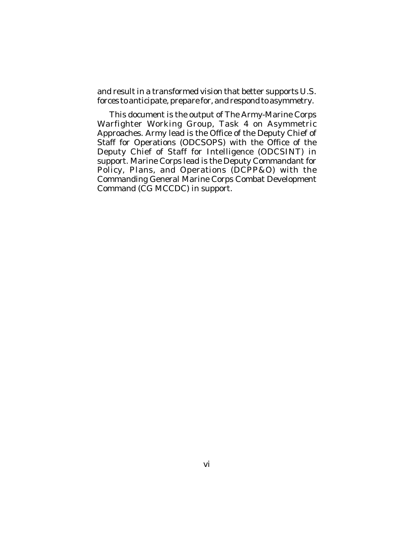and result in a transformed vision that better supports U.S. forces to anticipate, prepare for, and respond to asymmetry.

This document is the output of The Army-Marine Corps Warfighter Working Group, Task 4 on Asymmetric Approaches. Army lead is the Office of the Deputy Chief of Staff for Operations (ODCSOPS) with the Office of the Deputy Chief of Staff for Intelligence (ODCSINT) in support. Marine Corps lead is the Deputy Commandant for Policy, Plans, and Operations (DCPP&O) with the Commanding General Marine Corps Combat Development Command (CG MCCDC) in support.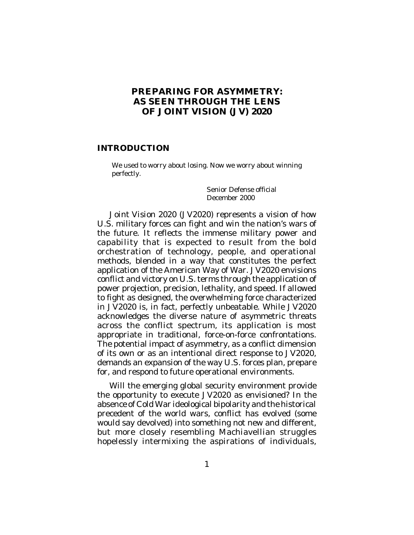# **PREPARING FOR ASYMMETRY: AS SEEN THROUGH THE LENS OF** *JOINT VISION (JV) 2020*

#### **INTRODUCTION**

We used to worry about losing. Now we worry about winning perfectly.

> Senior Defense official December 2000

*Joint Vision 2020 (JV2020)* represents a vision of how U.S. military forces can fight and win the nation's wars of the future. It reflects the immense military power and capability that is expected to result from the bold orchestration of technology, people, and operational methods, blended in a way that constitutes the perfect application of the American Way of War. *JV2020* envisions conflict and victory on U.S. terms through the application of power projection, precision, lethality, and speed. If allowed to fight as designed, the overwhelming force characterized in *JV2020* is, in fact, perfectly unbeatable. While *JV2020* acknowledges the diverse nature of asymmetric threats across the conflict spectrum, its application is most appropriate in traditional, force-on-force confrontations. The potential impact of asymmetry, as a conflict dimension of its own or as an intentional direct response to *JV2020*, demands an expansion of the way U.S. forces plan, prepare for, and respond to future operational environments.

Will the emerging global security environment provide the opportunity to execute *JV2020* as envisioned? In the absence of Cold War ideological bipolarity and the historical precedent of the world wars, conflict has evolved (some would say devolved) into something not new and different, but more closely resembling Machiavellian struggles hopelessly intermixing the aspirations of individuals,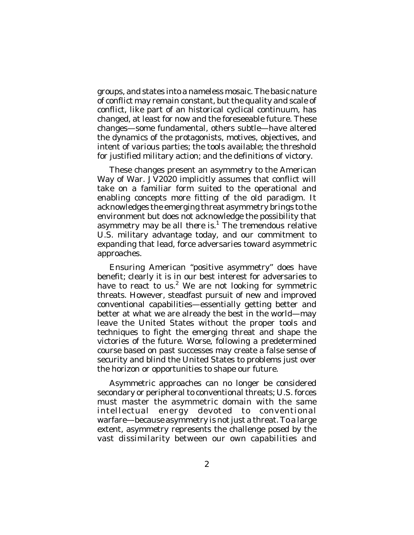groups, and states into a nameless mosaic. The basic nature of conflict may remain constant, but the quality and scale of conflict, like part of an historical cyclical continuum, has changed, at least for now and the foreseeable future. These changes—some fundamental, others subtle—have altered the dynamics of the protagonists, motives, objectives, and intent of various parties; the tools available; the threshold for justified military action; and the definitions of victory.

These changes present an asymmetry to the American Way of War. *JV2020* implicitly assumes that conflict will take on a familiar form suited to the operational and enabling concepts more fitting of the old paradigm. It acknowledges the emerging threat asymmetry brings to the environment but does not acknowledge the possibility that asymmetry *may be all there is*. 1 The tremendous relative U.S. military advantage today, and our commitment to expanding that lead, force adversaries toward asymmetric approaches.

Ensuring American "positive asymmetry" does have benefit; clearly it is in our best interest for adversaries to have to react to us.<sup>2</sup> We are not looking for symmetric threats. However, steadfast pursuit of new and improved conventional capabilities—essentially getting better and better at what we are already the best in the world—may leave the United States without the proper tools and techniques to fight the emerging threat and shape the victories of the future. Worse, following a predetermined course based on past successes may create a false sense of security and blind the United States to problems just over the horizon or opportunities to shape our future.

Asymmetric approaches can no longer be considered secondary or peripheral to conventional threats; U.S. forces must master the asymmetric domain with the same intellectual energy devoted to conventional warfare—because asymmetry is not just a threat. To a large extent, asymmetry represents the challenge posed by the vast dissimilarity between our own capabilities and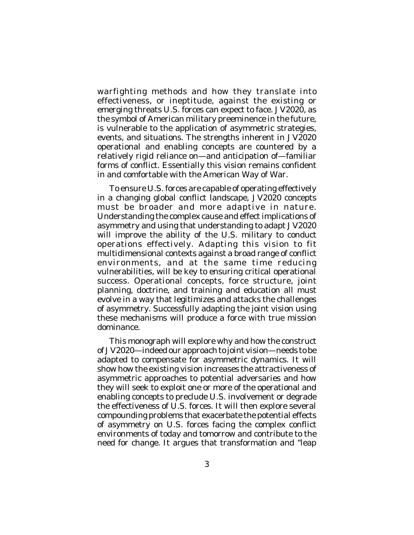warfighting methods and how they translate into effectiveness, or ineptitude, against the existing or emerging threats U.S. forces can expect to face. *JV2020*, as the symbol of American military preeminence in the future, is vulnerable to the application of asymmetric strategies, events, and situations. The strengths inherent in *JV2020* operational and enabling concepts are countered by a relatively rigid reliance on—and anticipation of—familiar forms of conflict. Essentially this vision remains confident in and comfortable with the American Way of War.

To ensure U.S. forces are capable of operating effectively in a changing global conflict landscape, *JV2020* concepts must be broader and more adaptive in nature. Understanding the complex cause and effect implications of asymmetry and using that understanding to adapt *JV2020* will improve the ability of the U.S. military to conduct operations effectively. Adapting this vision to fit multidimensional contexts against a broad range of conflict environments, and at the same time reducing vulnerabilities, will be key to ensuring critical operational success. Operational concepts, force structure, joint planning, doctrine, and training and education all must evolve in a way that legitimizes and attacks the challenges of asymmetry. Successfully adapting the joint vision using these mechanisms will produce a force with true mission dominance.

This monograph will explore why and how the construct of *JV2020*—indeed our approach to joint vision—needs to be adapted to compensate for asymmetric dynamics. It will show how the existing vision increases the attractiveness of asymmetric approaches to potential adversaries and how they will seek to exploit one or more of the operational and enabling concepts to preclude U.S. involvement or degrade the effectiveness of U.S. forces. It will then explore several compounding problems that exacerbate the potential effects of asymmetry on U.S. forces facing the complex conflict environments of today and tomorrow and contribute to the need for change. It argues that transformation and "leap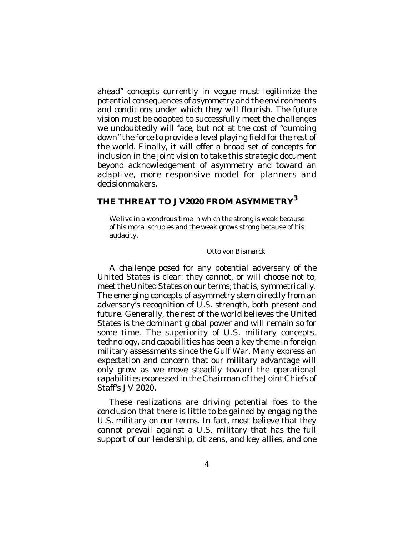ahead" concepts currently in vogue must legitimize the potential consequences of asymmetry and the environments and conditions under which they will flourish. The future vision must be adapted to successfully meet the challenges we undoubtedly will face, but not at the cost of "dumbing down" the force to provide a level playing field for the rest of the world. Finally, it will offer a broad set of concepts for inclusion in the joint vision to take this strategic document beyond acknowledgement of asymmetry and toward an adaptive, more responsive model for planners and decisionmakers.

# **THE THREAT TO** *JV2020* **FROM ASYMMETRY 3**

We live in a wondrous time in which the strong is weak because of his moral scruples and the weak grows strong because of his audacity.

#### Otto von Bismarck

A challenge posed for any potential adversary of the United States is clear: they cannot, or will choose not to, meet the United States on our terms; that is, symmetrically. The emerging concepts of asymmetry stem directly from an adversary's recognition of U.S. strength, both present and future. Generally, the rest of the world believes the United States is the dominant global power and will remain so for some time. The superiority of U.S. military concepts, technology, and capabilities has been a key theme in foreign military assessments since the Gulf War. Many express an expectation and concern that our military advantage will only grow as we move steadily toward the operational capabilities expressed in the Chairman of the Joint Chiefs of Staff's *JV 2020*.

These realizations are driving potential foes to the conclusion that there is little to be gained by engaging the U.S. military on our terms. In fact, most believe that they cannot prevail against a U.S. military that has the full support of our leadership, citizens, and key allies, and one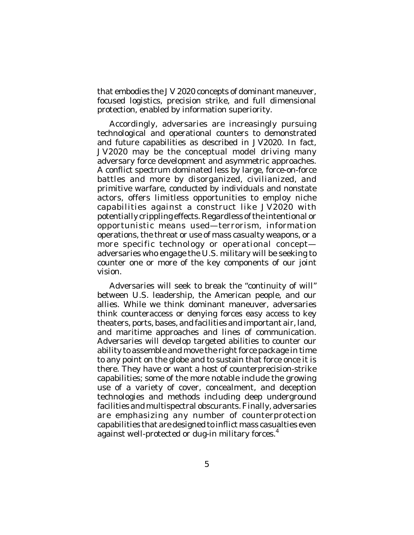that embodies the *JV 2020* concepts of dominant maneuver, focused logistics, precision strike, and full dimensional protection, enabled by information superiority.

Accordingly, adversaries are increasingly pursuing technological and operational counters to demonstrated and future capabilities as described in *JV2020*. In fact, *JV2020* may be the conceptual model driving many adversary force development and asymmetric approaches. A conflict spectrum dominated less by large, force-on-force battles and more by disorganized, civilianized, and primitive warfare, conducted by individuals and nonstate actors, offers limitless opportunities to employ niche capabilities against a construct like *JV2020* with potentially crippling effects. Regardless of the intentional or opportunistic means used—terrorism, information operations, the threat or use of mass casualty weapons, or a more specific technology or operational concept adversaries who engage the U.S. military will be seeking to counter one or more of the key components of our joint vision.

Adversaries will seek to break the "continuity of will" between U.S. leadership, the American people, and our allies. While we think dominant maneuver, adversaries think counteraccess or denying forces easy access to key theaters, ports, bases, and facilities and important air, land, and maritime approaches and lines of communication. Adversaries will develop targeted abilities to counter our ability to assemble and move the right force package in time to any point on the globe and to sustain that force once it is there. They have or want a host of counterprecision-strike capabilities; some of the more notable include the growing use of a variety of cover, concealment, and deception technologies and methods including deep underground facilities and multispectral obscurants. Finally, adversaries are emphasizing any number of counterprotection capabilities that are designed to inflict mass casualties even against well-protected or dug-in military forces.<sup>4</sup>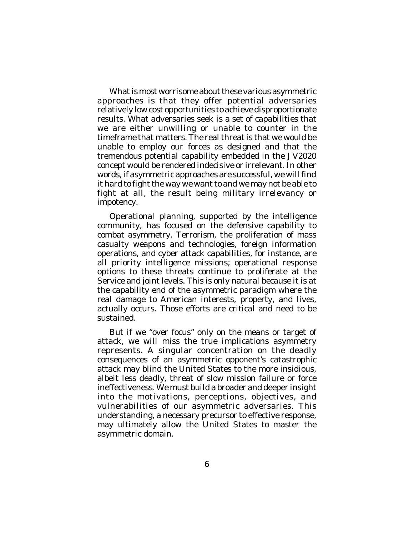What is most worrisome about these various asymmetric approaches is that they offer potential adversaries relatively low cost opportunities to achieve disproportionate results. What adversaries seek is a set of capabilities that we are either unwilling or unable to counter in the timeframe that matters. The real threat is that we would be unable to employ our forces as designed and that the tremendous potential capability embedded in the *JV2020* concept would be rendered indecisive or irrelevant. In other words, if asymmetric approaches are successful, we will find it hard to fight the way we want to and we may not be able to fight at all, the result being military irrelevancy or impotency.

Operational planning, supported by the intelligence community, has focused on the defensive capability to combat asymmetry. Terrorism, the proliferation of mass casualty weapons and technologies, foreign information operations, and cyber attack capabilities, for instance, are all priority intelligence missions; operational response options to these threats continue to proliferate at the Service and joint levels. This is only natural because it is at the capability end of the asymmetric paradigm where the real damage to American interests, property, and lives, actually occurs. Those efforts are critical and need to be sustained.

But if we "over focus" only on the means or target of attack, we will miss the true implications asymmetry represents. A singular concentration on the deadly consequences of an asymmetric opponent's catastrophic attack may blind the United States to the more insidious, albeit less deadly, threat of slow mission failure or force ineffectiveness. We must build a broader and deeper insight into the motivations, perceptions, objectives, and vulnerabilities of our asymmetric adversaries. This understanding, a necessary precursor to effective response, may ultimately allow the United States to master the asymmetric domain.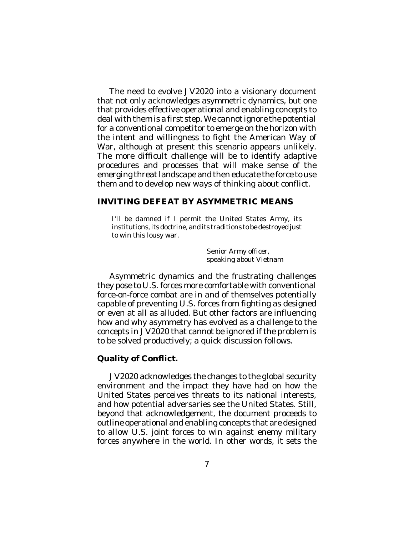The need to evolve *JV2020* into a visionary document that not only acknowledges asymmetric dynamics, but one that provides effective operational and enabling concepts to deal with them is a first step. We cannot ignore the potential for a conventional competitor to emerge on the horizon with the intent and willingness to fight the American Way of War, although at present this scenario appears unlikely. The more difficult challenge will be to identify adaptive procedures and processes that will make sense of the emerging threat landscape and then educate the force to use them and to develop new ways of thinking about conflict.

#### **INVITING DEFEAT BY ASYMMETRIC MEANS**

I'll be damned if I permit the United States Army, its institutions, its doctrine, and its traditions to be destroyed just to win this lousy war.

> Senior Army officer, speaking about Vietnam

Asymmetric dynamics and the frustrating challenges they pose to U.S. forces more comfortable with conventional force-on-force combat are in and of themselves potentially capable of preventing U.S. forces from fighting as designed or even at all as alluded. But other factors are influencing how and why asymmetry has evolved as a challenge to the concepts in *JV2020* that cannot be ignored if the problem is to be solved productively; a quick discussion follows.

## **Quality of Conflict.**

*JV2020* acknowledges the changes to the global security environment and the impact they have had on how the United States perceives threats to its national interests, and how potential adversaries see the United States. Still, beyond that acknowledgement, the document proceeds to outline operational and enabling concepts that are designed to allow U.S. joint forces to win against enemy military forces anywhere in the world. In other words, it sets the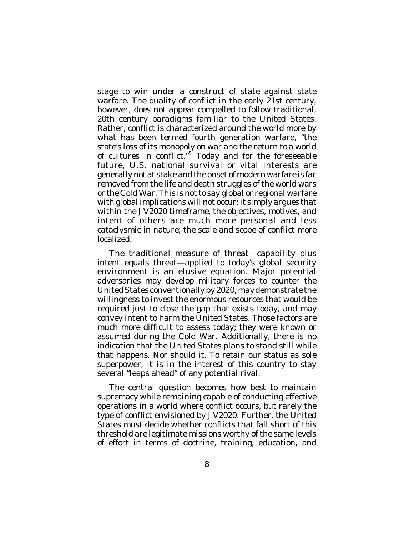stage to win under a construct of state against state warfare. The quality of conflict in the early 21st century, however, does not appear compelled to follow traditional, 20th century paradigms familiar to the United States. Rather, conflict is characterized around the world more by what has been termed fourth generation warfare, "the state's loss of its monopoly on war and the return to a world of cultures in conflict."<sup>5</sup> Today and for the foreseeable future, U.S. national survival or vital interests are generally not at stake and the onset of modern warfare is far removed from the life and death struggles of the world wars or the Cold War. This is not to say global or regional warfare with global implications will not occur; it simply argues that within the *JV2020* timeframe, the objectives, motives, and intent of others are much more personal and less cataclysmic in nature; the scale and scope of conflict more localized.

The traditional measure of threat—capability plus intent equals threat—applied to today's global security environment is an elusive equation. Major potential adversaries *may* develop military forces to counter the United States conventionally by 2020, *may* demonstrate the willingness to invest the enormous resources that would be required just to close the gap that exists today, and *may* convey intent to harm the United States. Those factors are much more difficult to assess today; they were known or assumed during the Cold War. Additionally, there is no indication that the United States plans to stand still while that happens. Nor should it. To retain our status as sole superpower, it is in the interest of this country to stay several "leaps ahead" of any potential rival.

The central question becomes how best to maintain supremacy while remaining capable of conducting effective operations in a world where conflict occurs, but rarely the type of conflict envisioned by *JV2020*. Further, the United States must decide whether conflicts that fall short of this threshold are legitimate missions worthy of the same levels of effort in terms of doctrine, training, education, and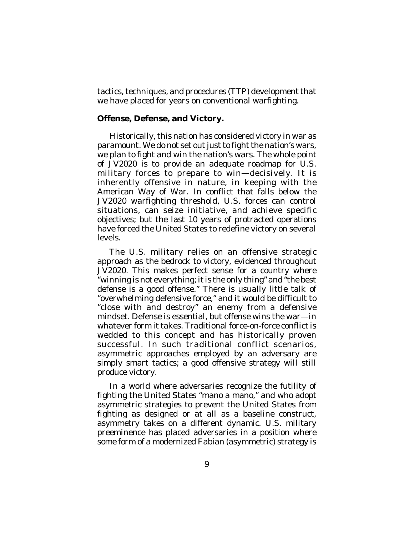tactics, techniques, and procedures (TTP) development that we have placed for years on conventional warfighting.

#### **Offense, Defense, and Victory.**

Historically, this nation has considered victory in war as paramount. We do not set out just to fight the nation's wars, we plan to fight *and win* the nation's wars. The whole point of *JV2020* is to provide an adequate roadmap for U.S. military forces to prepare to win—decisively. It is inherently offensive in nature, in keeping with the American Way of War. In conflict that falls below the *JV2020* warfighting threshold, U.S. forces can control situations, can seize initiative, and achieve specific objectives; but the last 10 years of protracted operations have forced the United States to redefine victory on several levels.

The U.S. military relies on an offensive strategic approach as the bedrock to victory, evidenced throughout *JV2020*. This makes perfect sense for a country where "winning is not everything; it is the only thing" and "the best defense is a good offense." There is usually little talk of "overwhelming defensive force," and it would be difficult to "close with and destroy" an enemy from a defensive mindset. Defense is essential, but offense wins the war—in whatever form it takes. Traditional force-on-force conflict is wedded to this concept and has historically proven successful. In such traditional conflict scenarios, asymmetric approaches employed by an adversary are simply smart tactics; a good offensive strategy will still produce victory.

In a world where adversaries recognize the futility of fighting the United States "mano a mano," and who adopt asymmetric strategies to prevent the United States from fighting as designed or at all as a baseline construct, asymmetry takes on a different dynamic. U.S. military preeminence has placed adversaries in a position where some form of a modernized Fabian (asymmetric) strategy is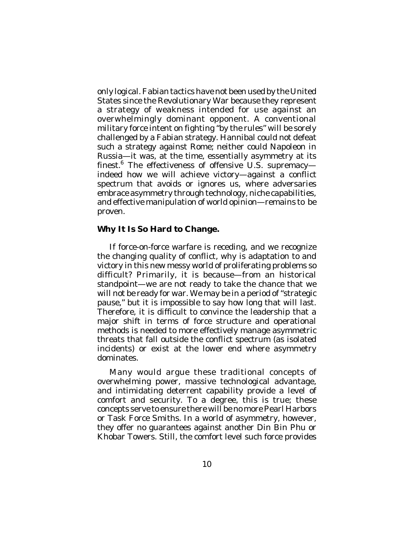only logical. Fabian tactics have not been used by the United States since the Revolutionary War because they represent a strategy of weakness intended for use against an overwhelmingly dominant opponent. A conventional military force intent on fighting "by the rules" will be sorely challenged by a Fabian strategy. Hannibal could not defeat such a strategy against Rome; neither could Napoleon in Russia—it was, at the time, essentially asymmetry at its finest. 6 The effectiveness of offensive U.S. supremacy indeed how we will achieve victory—against a conflict spectrum that avoids or ignores us, where adversaries embrace asymmetry through technology, niche capabilities, and effective manipulation of world opinion—remains to be proven.

## **Why It Is So Hard to Change.**

If force-on-force warfare is receding, and we recognize the changing quality of conflict, why is adaptation to and victory in this new messy world of proliferating problems so difficult? Primarily, it is because—from an historical standpoint—we are not ready to take the chance that we will not be ready for war. We may be in a period of "strategic pause," but it is impossible to say how long that will last. Therefore, it is difficult to convince the leadership that a major shift in terms of force structure and operational methods is needed to more effectively manage asymmetric threats that fall outside the conflict spectrum (as isolated incidents) or exist at the lower end where asymmetry dominates.

Many would argue these traditional concepts of overwhelming power, massive technological advantage, and intimidating deterrent capability provide a level of comfort and security. To a degree, this is true; these concepts serve to ensure there will be no more Pearl Harbors or Task Force Smiths. In a world of asymmetry, however, they offer no guarantees against another Din Bin Phu or Khobar Towers. Still, the comfort level such force provides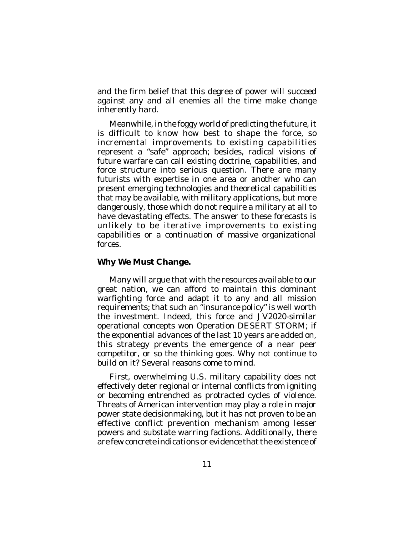and the firm belief that this degree of power will succeed against any and all enemies all the time make change inherently hard.

Meanwhile, in the foggy world of predicting the future, it is difficult to know how best to shape the force, so incremental improvements to existing capabilities represent a "safe" approach; besides, radical visions of future warfare can call existing doctrine, capabilities, and force structure into serious question. There are many futurists with expertise in one area or another who can present emerging technologies and theoretical capabilities that may be available, with military applications, but more dangerously, those which do not require a military at all to have devastating effects. The answer to these forecasts is unlikely to be iterative improvements to existing capabilities or a continuation of massive organizational forces.

## **Why We Must Change.**

Many will argue that with the resources available to our great nation, we can afford to maintain this dominant warfighting force and adapt it to any and all mission requirements; that such an "insurance policy" is well worth the investment. Indeed, this force and *JV2020*-similar operational concepts won Operation DESERT STORM; if the exponential advances of the last 10 years are added on, this strategy prevents the emergence of a near peer competitor, or so the thinking goes. Why not continue to build on it? Several reasons come to mind.

First, overwhelming U.S. military capability does not effectively deter regional or internal conflicts from igniting or becoming entrenched as protracted cycles of violence. Threats of American intervention may play a role in major power state decisionmaking, but it has not proven to be an effective conflict prevention mechanism among lesser powers and substate warring factions. Additionally, there are few concrete indications or evidence that the existence of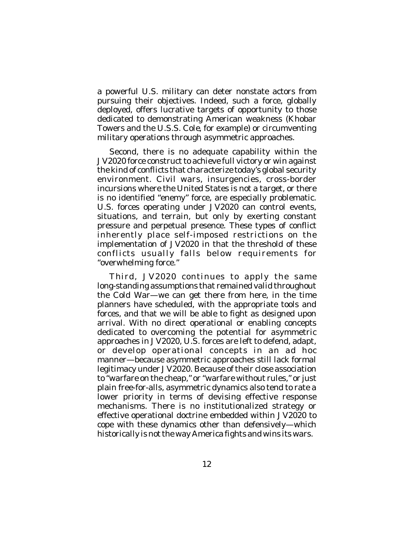a powerful U.S. military can deter nonstate actors from pursuing their objectives. Indeed, such a force, globally deployed, offers lucrative targets of opportunity to those dedicated to demonstrating American weakness (Khobar Towers and the U.S.S. *Cole*, for example) or circumventing military operations through asymmetric approaches.

Second, there is no adequate capability within the *JV2020* force construct to achieve full victory or *win* against the kind of conflicts that characterize today's global security environment. Civil wars, insurgencies, cross-border incursions where the United States is not a target, or there is no identified "enemy" force, are especially problematic. U.S. forces operating under *JV2020* can control events, situations, and terrain, but only by exerting constant pressure and perpetual presence. These types of conflict inherently place self-imposed restrictions on the implementation of *JV2020* in that the threshold of these conflicts usually falls below requirements for "overwhelming force."

Third, *JV2020* continues to apply the same long-standing assumptions that remained valid throughout the Cold War—we can get there from here, in the time planners have scheduled, with the appropriate tools and forces, and that we will be able to fight as designed upon arrival. With no direct operational or enabling concepts dedicated to overcoming the potential for asymmetric approaches in *JV2020*, U.S. forces are left to defend, adapt, or develop operational concepts in an ad hoc manner—because asymmetric approaches still lack formal legitimacy under *JV2020*. Because of their close association to "warfare on the cheap," or "warfare without rules," or just plain free-for-alls, asymmetric dynamics also tend to rate a lower priority in terms of devising effective response mechanisms. There is no institutionalized strategy or effective operational doctrine embedded within *JV2020* to cope with these dynamics other than defensively—which historically is not the way America fights and wins its wars.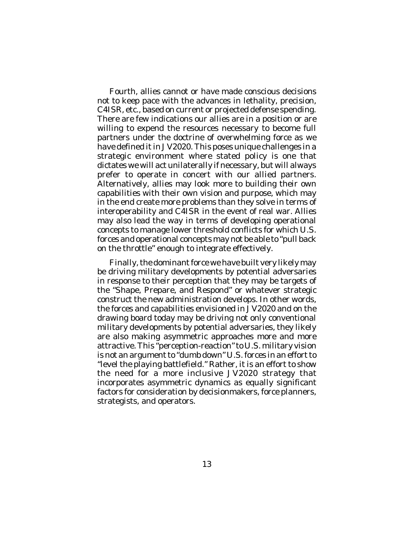Fourth, allies cannot or have made conscious decisions not to keep pace with the advances in lethality, precision, C4ISR, etc., based on current or projected defense spending. There are few indications our allies are in a position or are willing to expend the resources necessary to become full partners under the doctrine of overwhelming force as we have defined it in *JV2020*. This poses unique challenges in a strategic environment where stated policy is one that dictates we will act unilaterally if necessary, but will always prefer to operate in concert with our allied partners. Alternatively, allies may look more to building their own capabilities with their own vision and purpose, which may in the end create more problems than they solve in terms of interoperability and C4ISR in the event of real war. Allies may also lead the way in terms of developing operational concepts to manage lower threshold conflicts for which U.S. forces and operational concepts may not be able to "pull back on the throttle" enough to integrate effectively.

Finally, the dominant force we have built very likely may be driving military developments by potential adversaries in response to their perception that they may be targets of the "Shape, Prepare, and Respond" or whatever strategic construct the new administration develops. In other words, the forces and capabilities envisioned in *JV2020* and on the drawing board today may be driving not only conventional military developments by potential adversaries, they likely are also making asymmetric approaches more and more attractive. This "perception-reaction" to U.S. military vision is not an argument to "dumb down" U.S. forces in an effort to "level the playing battlefield." Rather, it is an effort to show the need for a more inclusive *JV2020* strategy that incorporates asymmetric dynamics as equally significant factors for consideration by decisionmakers, force planners, strategists, and operators.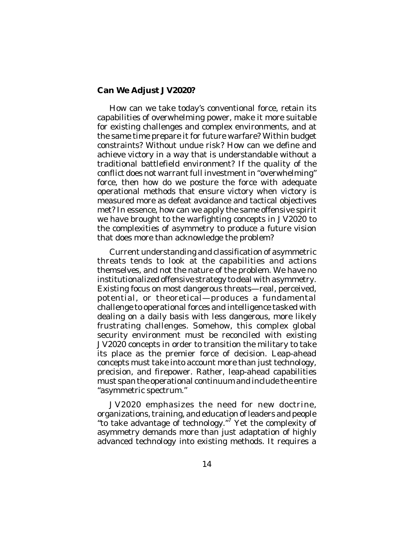## **Can We Adjust** *JV2020***?**

How can we take today's conventional force, retain its capabilities of overwhelming power, make it more suitable for existing challenges and complex environments, and at the same time prepare it for future warfare? Within budget constraints? Without undue risk? How can we define and achieve victory in a way that is understandable without a traditional battlefield environment? If the quality of the conflict does not warrant full investment in "overwhelming" force, then how do we posture the force with adequate operational methods that ensure victory when victory is measured more as defeat avoidance and tactical objectives met? In essence, how can we apply the same offensive spirit we have brought to the warfighting concepts in *JV2020* to the complexities of asymmetry to produce a future vision that does more than acknowledge the problem?

Current understanding and classification of asymmetric threats tends to look at the capabilities and actions themselves, and not the nature of the problem. We have no institutionalized offensive strategy to deal with asymmetry. Existing focus on most dangerous threats—real, perceived, potential, or theoretical—produces a fundamental challenge to operational forces and intelligence tasked with dealing on a daily basis with less dangerous, more likely frustrating challenges. Somehow, this complex global security environment must be reconciled with existing *JV2020* concepts in order to transition the military to take its place as the premier force of decision. Leap-ahead concepts must take into account more than just technology, precision, and firepower. Rather, leap-ahead capabilities must span the operational continuum and include the entire "asymmetric spectrum."

*JV2020* emphasizes the need for new doctrine, organizations, training, and education of leaders and people "to take advantage of technology." 7 Yet the complexity of asymmetry demands more than just adaptation of highly advanced technology into existing methods. It requires a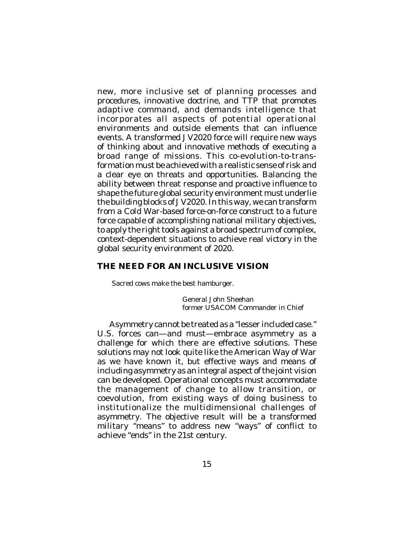new, more inclusive set of planning processes and procedures, innovative doctrine, and TTP that promotes adaptive command, and demands intelligence that incorporates all aspects of potential operational environments and outside elements that can influence events. A transformed *JV2020* force will require new ways of thinking about and innovative methods of executing a broad range of missions. This co-evolution-to-transformation must be achieved with a realistic sense of risk and a clear eye on threats and opportunities. Balancing the ability between threat response and proactive influence to shape the future global security environment must underlie the building blocks of *JV2020*. In this way, we can transform from a Cold War-based force-on-force construct to a future force capable of accomplishing national military objectives, to apply the right tools against a broad spectrum of complex, context-dependent situations to achieve real victory in the global security environment of 2020.

# **THE NEED FOR AN INCLUSIVE VISION**

Sacred cows make the best hamburger.

General John Sheehan former USACOM Commander in Chief

Asymmetry cannot be treated as a "lesser included case." U.S. forces can—and must—embrace asymmetry as a challenge for which there are effective solutions. These solutions may not look quite like the American Way of War as we have known it, but effective ways and means of including asymmetry as an integral aspect of the joint vision can be developed. Operational concepts must accommodate the management of change to allow transition, or coevolution, from existing ways of doing business to institutionalize the multidimensional challenges of asymmetry. The objective result will be a transformed military "means" to address new "ways" of conflict to achieve "ends" in the 21st century.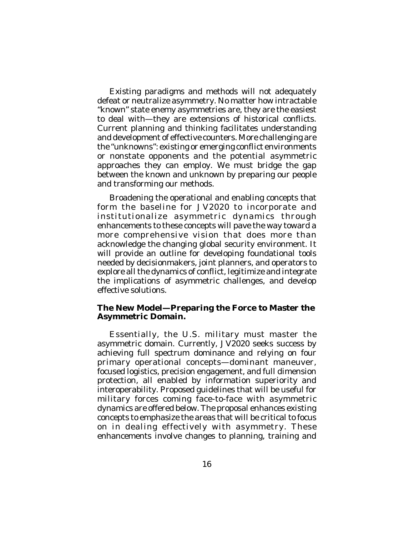Existing paradigms and methods will not adequately defeat or neutralize asymmetry. No matter how intractable "known" state enemy asymmetries are, they are the easiest to deal with—they are extensions of historical conflicts. Current planning and thinking facilitates understanding and development of effective counters. More challenging are the "unknowns": existing or emerging conflict environments or nonstate opponents and the potential asymmetric approaches they can employ. We must bridge the gap between the known and unknown by preparing our people and transforming our methods.

Broadening the operational and enabling concepts that form the baseline for *JV2020* to incorporate and institutionalize asymmetric dynamics through enhancements to these concepts will pave the way toward a more comprehensive vision that does more than acknowledge the changing global security environment. It will provide an outline for developing foundational tools needed by decisionmakers, joint planners, and operators to explore all the dynamics of conflict, legitimize and integrate the implications of asymmetric challenges, and develop effective solutions.

#### **The New Model—Preparing the Force to Master the Asymmetric Domain.**

Essentially, the U.S. military must master the asymmetric domain. Currently, *JV2020* seeks success by achieving full spectrum dominance and relying on four primary operational concepts—dominant maneuver, focused logistics, precision engagement, and full dimension protection, all enabled by information superiority and interoperability. Proposed guidelines that will be useful for military forces coming face-to-face with asymmetric dynamics are offered below. The proposal enhances existing concepts to emphasize the areas that will be critical to focus on in dealing effectively with asymmetry. These enhancements involve changes to planning, training and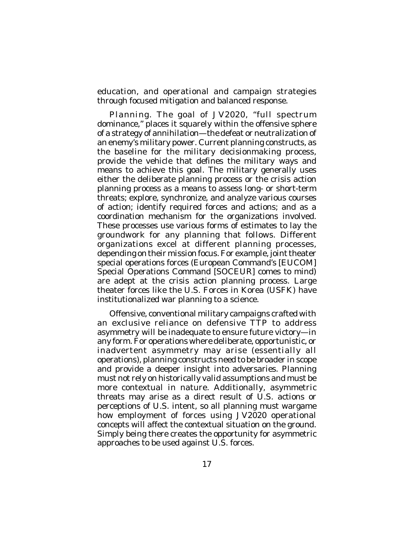education, and operational and campaign strategies through focused mitigation and balanced response.

*Planning*. The goal of *JV2020*, "full spectrum dominance," places it squarely within the offensive sphere of a strategy of annihilation—the defeat or neutralization of an enemy's military power. Current planning constructs, as the baseline for the military decisionmaking process, provide the vehicle that defines the military ways and means to achieve this goal. The military generally uses either the deliberate planning process or the crisis action planning process as a means to assess long- or short-term threats; explore, synchronize, and analyze various courses of action; identify required forces and actions; and as a coordination mechanism for the organizations involved. These processes use various forms of estimates to lay the groundwork for any planning that follows. Different organizations excel at different planning processes, depending on their mission focus. For example, joint theater special operations forces (European Command's [EUCOM] Special Operations Command [SOCEUR] comes to mind) are adept at the crisis action planning process. Large theater forces like the U.S. Forces in Korea (USFK) have institutionalized war planning to a science.

Offensive, conventional military campaigns crafted with an exclusive reliance on defensive TTP to address asymmetry will be inadequate to ensure future victory—in any form. For operations where deliberate, opportunistic, or inadvertent asymmetry may arise (essentially all operations), planning constructs need to be broader in scope and provide a deeper insight into adversaries. Planning must not rely on historically valid assumptions and must be more contextual in nature. Additionally, asymmetric threats may arise as a direct result of U.S. actions or perceptions of U.S. intent, so all planning must wargame how employment of forces using *JV2020* operational concepts will affect the contextual situation on the ground. Simply being there creates the opportunity for asymmetric approaches to be used against U.S. forces.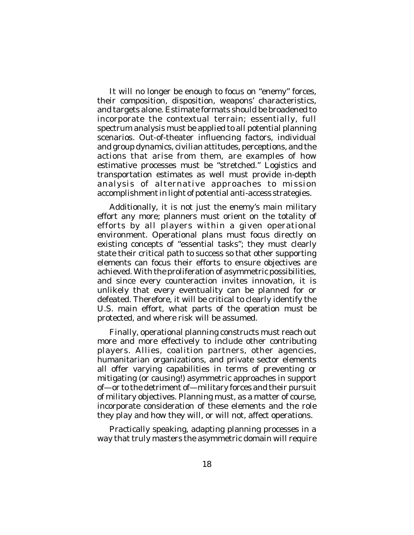It will no longer be enough to focus on "enemy" forces, their composition, disposition, weapons' characteristics, and targets alone. Estimate formats should be broadened to incorporate the contextual terrain; essentially, full spectrum analysis must be applied to all potential planning scenarios. Out-of-theater influencing factors, individual and group dynamics, civilian attitudes, perceptions, and the actions that arise from them, are examples of how estimative processes must be "stretched." Logistics and transportation estimates as well must provide in-depth analysis of alternative approaches to mission accomplishment in light of potential anti-access strategies.

Additionally, it is not just the enemy's main military effort any more; planners must orient on the totality of efforts by all players within a given operational environment. Operational plans must focus directly on existing concepts of "essential tasks"; they must clearly state their critical path to success so that other supporting elements can focus their efforts to ensure objectives are achieved. With the proliferation of asymmetric possibilities, and since every counteraction invites innovation, it is unlikely that every eventuality can be planned for or defeated. Therefore, it will be critical to clearly identify the U.S. main effort, what parts of the operation must be protected, and where risk will be assumed.

Finally, operational planning constructs must reach out more and more effectively to include other contributing players. Allies, coalition partners, other agencies, humanitarian organizations, and private sector elements all offer varying capabilities in terms of preventing or mitigating (or causing!) asymmetric approaches in support of—or to the detriment of—military forces and their pursuit of military objectives. Planning must, as a matter of course, incorporate consideration of these elements and the role they play and how they will, or will not, affect operations.

Practically speaking, adapting planning processes in a way that truly masters the asymmetric domain will require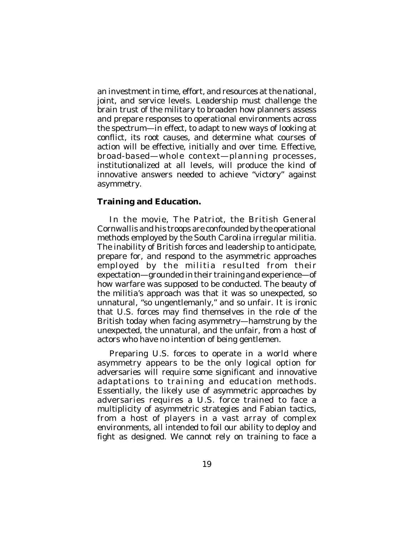an investment in time, effort, and resources at the national, joint, and service levels. Leadership must challenge the brain trust of the military to broaden how planners assess and prepare responses to operational environments across the spectrum—in effect, to adapt to new ways of looking at conflict, its root causes, and determine what courses of action will be effective, initially and over time. Effective, broad-based—whole context—planning processes, institutionalized at all levels, will produce the kind of innovative answers needed to achieve "victory" against asymmetry.

## **Training and Education.**

In the movie, *The Patriot*, the British General Cornwallis and his troops are confounded by the operational methods employed by the South Carolina irregular militia. The inability of British forces and leadership to anticipate, prepare for, and respond to the asymmetric approaches employed by the militia resulted from their expectation—grounded in their training and experience—of how warfare was *supposed* to be conducted. The beauty of the militia's approach was that it was so unexpected, so unnatural, "so ungentlemanly," and so *unfair*. It is ironic that U.S. forces may find themselves in the role of the British today when facing asymmetry—hamstrung by the unexpected, the unnatural, and the unfair, from a host of actors who have no intention of being gentlemen.

Preparing U.S. forces to operate in a world where asymmetry appears to be the only logical option for adversaries will require some significant and innovative adaptations to training and education methods. Essentially, the likely use of asymmetric approaches by adversaries requires a U.S. force trained to face a multiplicity of asymmetric strategies and Fabian tactics, from a host of players in a vast array of complex environments, all intended to foil our ability to deploy and fight as designed. We cannot rely on training to face a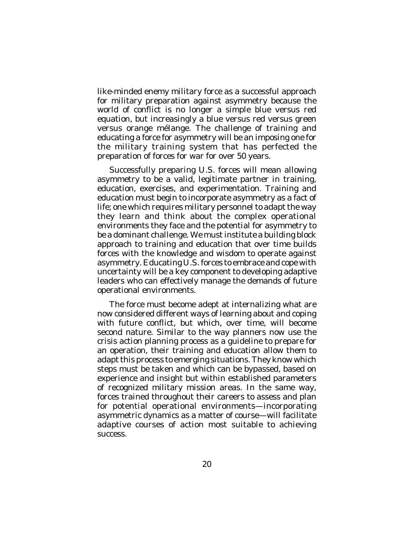like-minded enemy military force as a successful approach for military preparation against asymmetry because the world of conflict is no longer a simple blue versus red equation, but increasingly a blue versus red versus green versus orange mélange. The challenge of training and educating a force for asymmetry will be an imposing one for the military training system that has perfected the preparation of forces for war for over 50 years.

Successfully preparing U.S. forces will mean allowing asymmetry to be a valid, legitimate partner in training, education, exercises, and experimentation. Training and education must begin to incorporate asymmetry as a fact of life; one which requires military personnel to adapt the way they learn and think about the complex operational environments they face and the potential for asymmetry to be a dominant challenge. We must institute a building block approach to training and education that over time builds forces with the knowledge and wisdom to operate against asymmetry. Educating U.S. forces to embrace and cope with uncertainty will be a key component to developing adaptive leaders who can effectively manage the demands of future operational environments.

The force must become adept at internalizing what are now considered different ways of learning about and coping with future conflict, but which, over time, will become second nature. Similar to the way planners now use the crisis action planning process as a guideline to prepare for an operation, their training and education allow them to adapt this process to emerging situations. They know which steps must be taken and which can be bypassed, based on experience and insight but within established parameters of recognized military mission areas. In the same way, forces trained throughout their careers to assess and plan for potential operational environments—incorporating asymmetric dynamics as a matter of course—will facilitate adaptive courses of action most suitable to achieving success.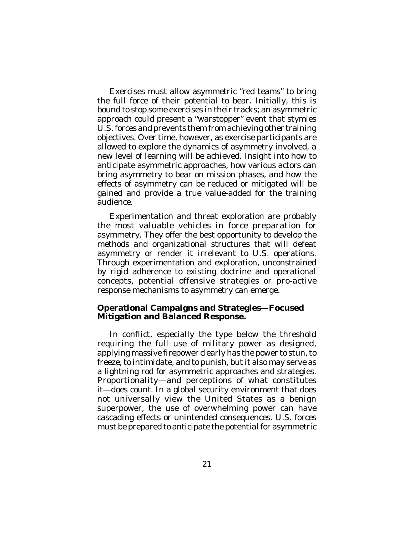Exercises must allow asymmetric "red teams" to bring the full force of their potential to bear. Initially, this is bound to stop some exercises in their tracks; an asymmetric approach could present a "warstopper" event that stymies U.S. forces and prevents them from achieving other training objectives. Over time, however, as exercise participants are allowed to explore the dynamics of asymmetry involved, a new level of learning will be achieved. Insight into how to anticipate asymmetric approaches, how various actors can bring asymmetry to bear on mission phases, and how the effects of asymmetry can be reduced or mitigated will be gained and provide a true value-added for the training audience.

Experimentation and threat exploration are probably the most valuable vehicles in force preparation for asymmetry. They offer the best opportunity to develop the methods and organizational structures that will defeat asymmetry or render it irrelevant to U.S. operations. Through experimentation and exploration, unconstrained by rigid adherence to existing doctrine and operational concepts, potential offensive strategies or pro-active response mechanisms to asymmetry can emerge.

#### **Operational Campaigns and Strategies—Focused Mitigation and Balanced Response.**

In conflict, especially the type below the threshold requiring the full use of military power as designed, applying massive firepower clearly has the power to stun, to freeze, to intimidate, and to punish, but it also may serve as a lightning rod for asymmetric approaches and strategies. Proportionality—and perceptions of what constitutes it—does count. In a global security environment that does not universally view the United States as a benign superpower, the use of overwhelming power can have cascading effects or unintended consequences. U.S. forces must be prepared to anticipate the potential for asymmetric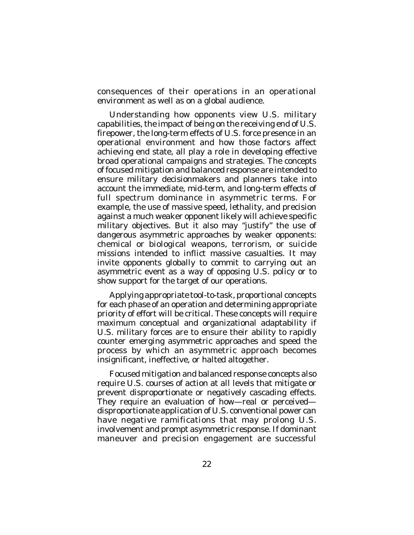consequences of their operations in an operational environment as well as on a global audience.

Understanding how opponents view U.S. military capabilities, the impact of being on the receiving end of U.S. firepower, the long-term effects of U.S. force presence in an operational environment and how those factors affect achieving end state, all play a role in developing effective broad operational campaigns and strategies. The concepts of focused mitigation and balanced response are intended to ensure military decisionmakers and planners take into account the immediate, mid-term, and long-term effects of full spectrum dominance in asymmetric terms. For example, the use of massive speed, lethality, and precision against a much weaker opponent likely will achieve specific military objectives. But it also may "justify" the use of dangerous asymmetric approaches by weaker opponents: chemical or biological weapons, terrorism, or suicide missions intended to inflict massive casualties. It may invite opponents globally to commit to carrying out an asymmetric event as a way of opposing U.S. policy or to show support for the target of our operations.

Applying appropriate tool-to-task, proportional concepts for each phase of an operation and determining appropriate priority of effort will be critical. These concepts will require maximum conceptual and organizational adaptability if U.S. military forces are to ensure their ability to rapidly counter emerging asymmetric approaches and speed the process by which an asymmetric approach becomes insignificant, ineffective, or halted altogether.

Focused mitigation and balanced response concepts also require U.S. courses of action at all levels that mitigate or prevent disproportionate or negatively cascading effects. They require an evaluation of how—real or perceived disproportionate application of U.S. conventional power can have negative ramifications that may prolong U.S. involvement and prompt asymmetric response. If dominant maneuver and precision engagement are successful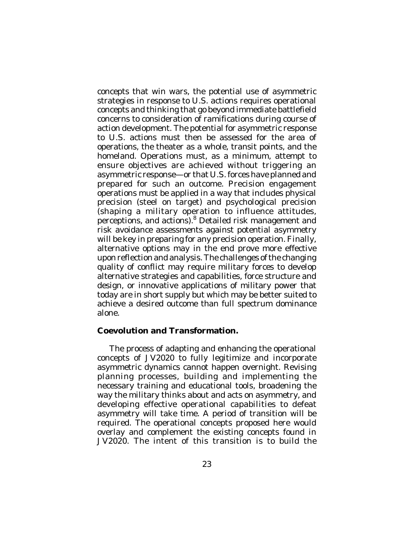concepts that win wars, the potential use of asymmetric strategies in response to U.S. actions requires operational concepts and thinking that go beyond immediate battlefield concerns to consideration of ramifications during course of action development. The potential for asymmetric response to U.S. actions must then be assessed for the area of operations, the theater as a whole, transit points, and the homeland. Operations must, as a minimum, attempt to ensure objectives are achieved without triggering an asymmetric response—or that U.S. forces have planned and prepared for such an outcome. Precision engagement operations must be applied in a way that includes physical precision (steel on target) and psychological precision (shaping a military operation to influence attitudes, perceptions, and actions). <sup>8</sup> Detailed risk management and risk avoidance assessments against potential asymmetry will be key in preparing for any precision operation. Finally, alternative options may in the end prove more effective upon reflection and analysis. The challenges of the changing quality of conflict may require military forces to develop alternative strategies and capabilities, force structure and design, or innovative applications of military power that today are in short supply but which may be better suited to achieve a desired outcome than full spectrum dominance alone.

#### **Coevolution and Transformation.**

The process of adapting and enhancing the operational concepts of *JV2020* to fully legitimize and incorporate asymmetric dynamics cannot happen overnight. Revising planning processes, building and implementing the necessary training and educational tools, broadening the way the military thinks about and acts on asymmetry, and developing effective operational capabilities to defeat asymmetry will take time. A period of transition will be required. The operational concepts proposed here would overlay and complement the existing concepts found in *JV2020*. The intent of this transition is to build the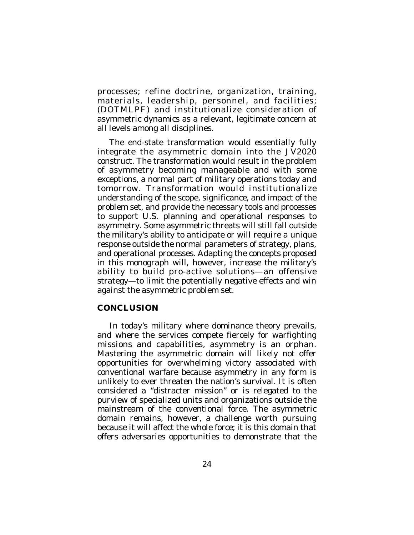processes; refine doctrine, organization, training, materials, leadership, personnel, and facilities; (DOTMLPF) and institutionalize consideration of asymmetric dynamics as a relevant, legitimate concern at all levels among all disciplines.

The end-state transformation would essentially fully integrate the asymmetric domain into the *JV2020* construct. The transformation would result in the problem of asymmetry becoming manageable and with some exceptions, a normal part of military operations today and tomorrow. Transformation would institutionalize understanding of the scope, significance, and impact of the problem set, and provide the necessary tools and processes to support U.S. planning and operational responses to asymmetry. Some asymmetric threats will still fall outside the military's ability to anticipate or will require a unique response outside the normal parameters of strategy, plans, and operational processes. Adapting the concepts proposed in this monograph will, however, increase the military's ability to build pro-active solutions—an offensive strategy—to limit the potentially negative effects and win against the asymmetric problem set.

## **CONCLUSION**

In today's military where dominance theory prevails, and where the services compete fiercely for warfighting missions and capabilities, asymmetry is an orphan. Mastering the asymmetric domain will likely not offer opportunities for overwhelming victory associated with conventional warfare because asymmetry in any form is unlikely to ever threaten the nation's survival. It is often considered a "distracter mission" or is relegated to the purview of specialized units and organizations outside the mainstream of the conventional force. The asymmetric domain remains, however, a challenge worth pursuing because it will affect the whole force; it is this domain that offers adversaries opportunities to demonstrate that the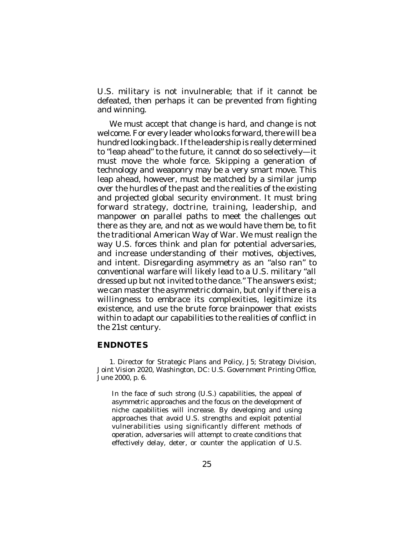U.S. military is not invulnerable; that if it cannot be defeated, then perhaps it can be prevented from fighting and winning.

We must accept that change is hard, and change is not welcome. For every leader who looks forward, there will be a hundred looking back. If the leadership is really determined to "leap ahead" to the future, it cannot do so selectively—it must move the whole force. Skipping a generation of technology and weaponry may be a very smart move. This leap ahead, however, must be matched by a similar jump over the hurdles of the past and the realities of the existing and projected global security environment. It must bring forward strategy, doctrine, training, leadership, and manpower on parallel paths to meet the challenges out there as they are, and not as we would have them be, to fit the traditional American Way of War. We must realign the way U.S. forces think and plan for potential adversaries, and increase understanding of their motives, objectives, and intent. Disregarding asymmetry as an "also ran" to conventional warfare will likely lead to a U.S. military "all dressed up but not invited to the dance." The answers exist; we can master the asymmetric domain, but only if there is a willingness to embrace its complexities, legitimize its existence, and use the brute force brainpower that exists within to adapt our capabilities to the realities of conflict in the 21st century.

# **ENDNOTES**

1. Director for Strategic Plans and Policy, J5; Strategy Division, *Joint Vision 2020*, Washington, DC: U.S. Government Printing Office, June 2000, p. 6.

In the face of such strong (U.S.) capabilities, the appeal of asymmetric approaches and the focus on the development of niche capabilities will increase. By developing and using approaches that avoid U.S. strengths and exploit potential vulnerabilities using significantly different methods of operation, adversaries will attempt to create conditions that effectively delay, deter, or counter the application of U.S.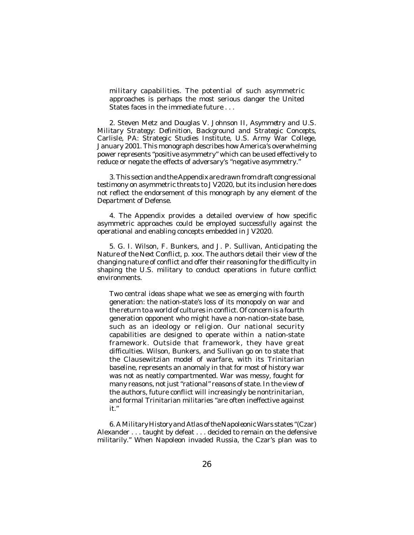military capabilities. The potential of such asymmetric approaches is perhaps the most serious danger the United States faces in the immediate future

2. Steven Metz and Douglas V. Johnson II, *Asymmetry and U.S. Military Strategy: Definition, Background and Strategic Concepts*, Carlisle, PA: Strategic Studies Institute, U.S. Army War College, January 2001. This monograph describes how America's overwhelming power represents "positive asymmetry" which can be used effectively to reduce or negate the effects of adversary's "negative asymmetry."

3. This section and the Appendix are drawn from draft congressional testimony on asymmetric threats to *JV2020*, but its inclusion here does not reflect the endorsement of this monograph by any element of the Department of Defense.

4. The Appendix provides a detailed overview of how specific asymmetric approaches could be employed successfully against the operational and enabling concepts embedded in *JV2020*.

5. G. I. Wilson, F. Bunkers, and J. P. Sullivan, *Anticipating the Nature of the Next Conflict*, p. xxx*.* The authors detail their view of the changing nature of conflict and offer their reasoning for the difficulty in shaping the U.S. military to conduct operations in future conflict environments.

Two central ideas shape what we see as emerging with fourth generation: the nation-state's loss of its monopoly on war and the return to a world of cultures in conflict. Of concern is a fourth generation opponent who might have a non-nation-state base, such as an ideology or religion. Our national security capabilities are designed to operate within a nation-state framework. Outside that framework, they have great difficulties. Wilson, Bunkers, and Sullivan go on to state that the Clausewitzian model of warfare, with its Trinitarian baseline, represents an anomaly in that for most of history war was not as neatly compartmented. War was messy, fought for many reasons, not just "rational" reasons of state. In the view of the authors, future conflict will increasingly be nontrinitarian, and formal Trinitarian militaries "are often ineffective against it."

6. *A Military History and Atlas of the Napoleonic Wars* states "(Czar) Alexander . . . taught by defeat . . . decided to remain on the defensive militarily." When Napoleon invaded Russia, the Czar's plan was to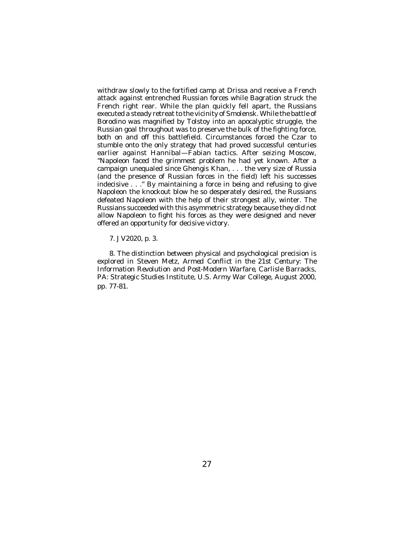withdraw slowly to the fortified camp at Drissa and receive a French attack against entrenched Russian forces while Bagration struck the French right rear. While the plan quickly fell apart, the Russians executed a steady retreat to the vicinity of Smolensk. While the battle of Borodino was magnified by Tolstoy into an apocalyptic struggle, the Russian goal throughout was to preserve the bulk of the fighting force, both on and off this battlefield. Circumstances forced the Czar to stumble onto the only strategy that had proved successful centuries earlier against Hannibal—Fabian tactics. After seizing Moscow, "Napoleon faced the grimmest problem he had yet known. After a campaign unequaled since Ghengis Khan, . . . the very size of Russia (and the presence of Russian forces in the field) left his successes indecisive . . ." By maintaining a force in being and refusing to give Napoleon the knockout blow he so desperately desired, the Russians defeated Napoleon with the help of their strongest ally, winter. The Russians succeeded with this asymmetric strategy because they did not allow Napoleon to fight his forces as they were designed and never offered an opportunity for decisive victory.

7. *JV2020*, p. 3.

8. The distinction between physical and psychological precision is explored in Steven Metz, *Armed Conflict in the 21st Century: The Information Revolution and Post-Modern Warfare*, Carlisle Barracks, PA: Strategic Studies Institute, U.S. Army War College, August 2000, pp. 77-81.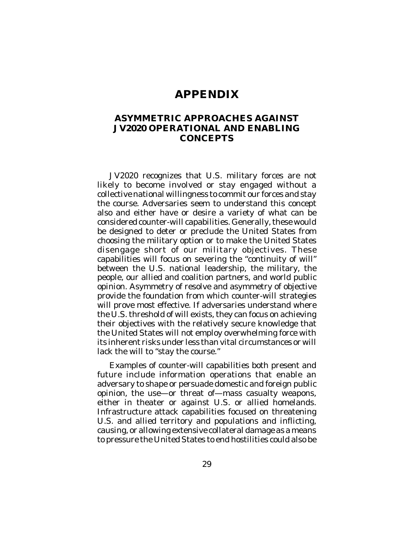# **APPENDIX**

## **ASYMMETRIC APPROACHES AGAINST** *JV2020* **OPERATIONAL AND ENABLING CONCEPTS**

*JV2020* recognizes that U.S. military forces are not likely to become involved or stay engaged without a collective national willingness to commit our forces and stay the course. Adversaries seem to understand this concept also and either have or desire a variety of what can be considered counter-will capabilities. Generally, these would be designed to deter or preclude the United States from choosing the military option or to make the United States disengage short of our military objectives. These capabilities will focus on severing the "continuity of will" between the U.S. national leadership, the military, the people, our allied and coalition partners, and world public opinion. Asymmetry of resolve and asymmetry of objective provide the foundation from which counter-will strategies will prove most effective. If adversaries understand where the U.S. threshold of will exists, they can focus on achieving their objectives with the relatively secure knowledge that the United States will not employ overwhelming force with its inherent risks under less than vital circumstances or will lack the will to "stay the course."

Examples of counter-will capabilities both present and future include information operations that enable an adversary to shape or persuade domestic and foreign public opinion, the use—or threat of—mass casualty weapons, either in theater or against U.S. or allied homelands. Infrastructure attack capabilities focused on threatening U.S. and allied territory and populations and inflicting, causing, or allowing extensive collateral damage as a means to pressure the United States to end hostilities could also be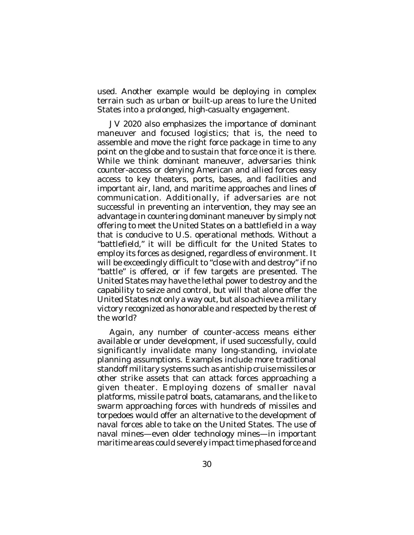used. Another example would be deploying in complex terrain such as urban or built-up areas to lure the United States into a prolonged, high-casualty engagement.

*JV 2020* also emphasizes the importance of dominant maneuver and focused logistics; that is, the need to assemble and move the right force package in time to any point on the globe and to sustain that force once it is there. While we think dominant maneuver, adversaries think counter-access or denying American and allied forces easy access to key theaters, ports, bases, and facilities and important air, land, and maritime approaches and lines of communication. Additionally, if adversaries are not successful in preventing an intervention, they may see an advantage in countering dominant maneuver by simply not offering to meet the United States on a battlefield in a way that is conducive to U.S. operational methods. Without a "battlefield," it will be difficult for the United States to employ its forces as designed, regardless of environment. It will be exceedingly difficult to "close with and destroy" if no "battle" is offered, or if few targets are presented. The United States may have the lethal power to destroy and the capability to seize and control, but will that alone offer the United States not only a way out, but also achieve a military victory recognized as honorable and respected by the rest of the world?

Again, any number of counter-access means either available or under development, if used successfully, could significantly invalidate many long-standing, inviolate planning assumptions. Examples include more traditional standoff military systems such as antiship cruise missiles or other strike assets that can attack forces approaching a given theater. Employing dozens of smaller naval platforms, missile patrol boats, catamarans, and the like to swarm approaching forces with hundreds of missiles and torpedoes would offer an alternative to the development of naval forces able to take on the United States. The use of naval mines—even older technology mines—in important maritime areas could severely impact time phased force and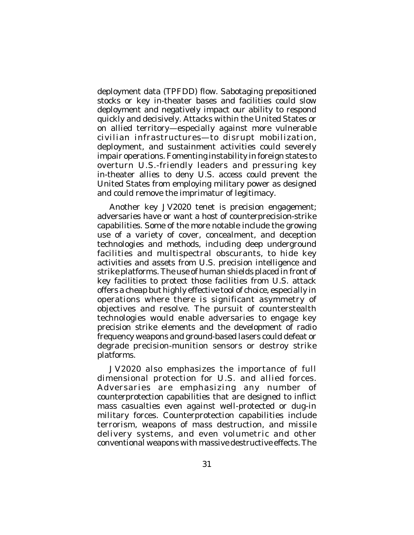deployment data (TPFDD) flow. Sabotaging prepositioned stocks or key in-theater bases and facilities could slow deployment and negatively impact our ability to respond quickly and decisively. Attacks within the United States or on allied territory—especially against more vulnerable civilian infrastructures—to disrupt mobilization, deployment, and sustainment activities could severely impair operations. Fomenting instability in foreign states to overturn U.S.-friendly leaders and pressuring key in-theater allies to deny U.S. access could prevent the United States from employing military power as designed and could remove the imprimatur of legitimacy.

Another key *JV2020* tenet is precision engagement; adversaries have or want a host of counterprecision-strike capabilities. Some of the more notable include the growing use of a variety of cover, concealment, and deception technologies and methods, including deep underground facilities and multispectral obscurants, to hide key activities and assets from U.S. precision intelligence and strike platforms. The use of human shields placed in front of key facilities to protect those facilities from U.S. attack offers a cheap but highly effective tool of choice, especially in operations where there is significant asymmetry of objectives and resolve. The pursuit of counterstealth technologies would enable adversaries to engage key precision strike elements and the development of radio frequency weapons and ground-based lasers could defeat or degrade precision-munition sensors or destroy strike platforms.

*JV2020* also emphasizes the importance of full dimensional protection for U.S. and allied forces. Adversaries are emphasizing any number of counterprotection capabilities that are designed to inflict mass casualties even against well-protected or dug-in military forces. Counterprotection capabilities include terrorism, weapons of mass destruction, and missile delivery systems, and even volumetric and other conventional weapons with massive destructive effects. The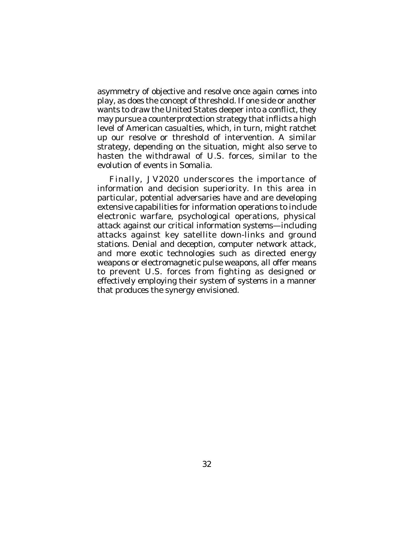asymmetry of objective and resolve once again comes into play, as does the concept of threshold. If one side or another wants to draw the United States deeper into a conflict, they may pursue a counterprotection strategy that inflicts a high level of American casualties, which, in turn, might ratchet up our resolve or threshold of intervention. A similar strategy, depending on the situation, might also serve to hasten the withdrawal of U.S. forces, similar to the evolution of events in Somalia.

Finally, *JV2020* underscores the importance of information and decision superiority. In this area in particular, potential adversaries have and are developing extensive capabilities for information operations to include electronic warfare, psychological operations, physical attack against our critical information systems—including attacks against key satellite down-links and ground stations. Denial and deception, computer network attack, and more exotic technologies such as directed energy weapons or electromagnetic pulse weapons, all offer means to prevent U.S. forces from fighting as designed or effectively employing their system of systems in a manner that produces the synergy envisioned.